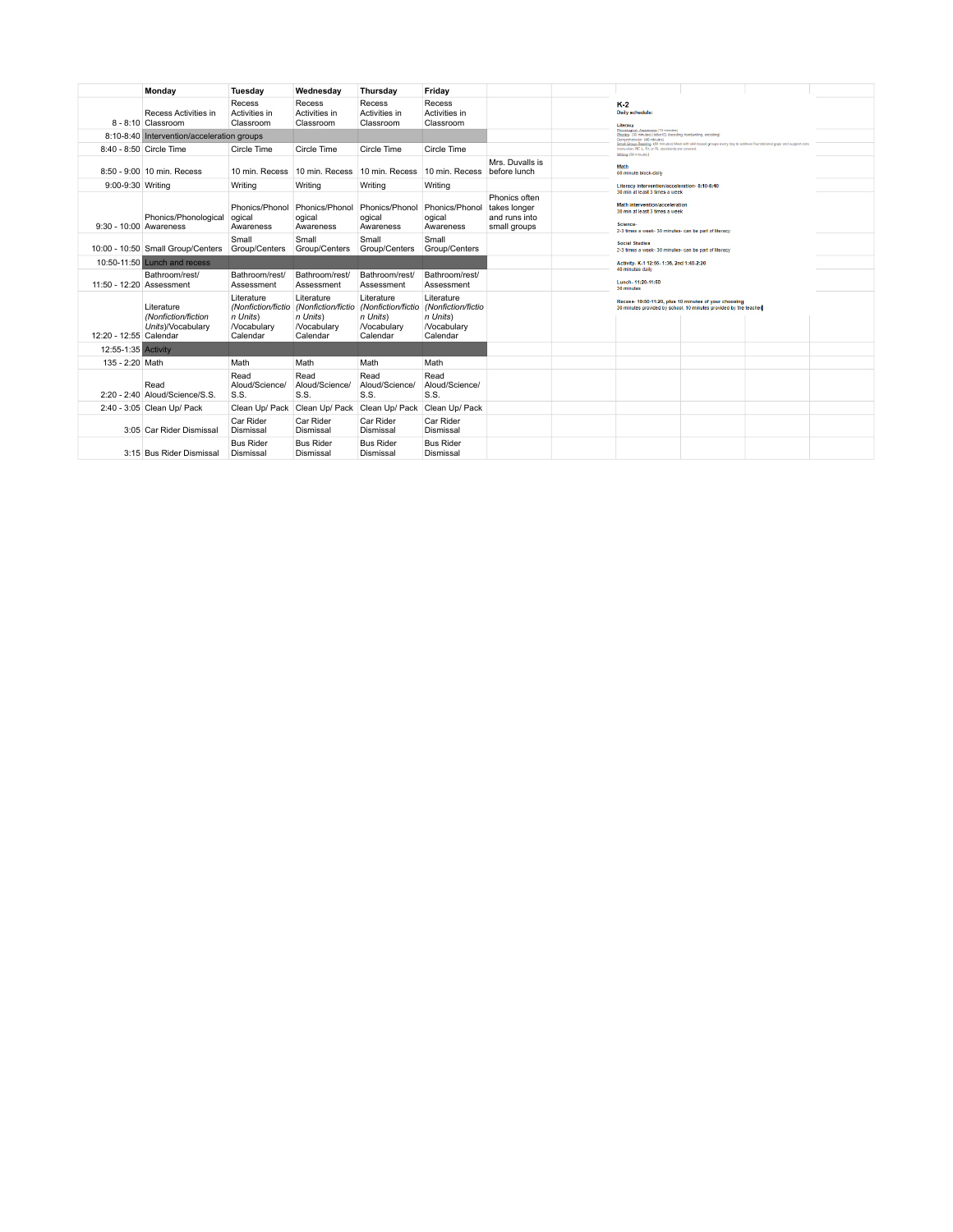|                          | Monday                                                 | Tuesdav                                                                       | Wednesday                                                              | Thursday                                                                      | Friday                                                                        |                                                                |                                                                                                                |                                                                                                                                                                                                                                       |  |  |  |
|--------------------------|--------------------------------------------------------|-------------------------------------------------------------------------------|------------------------------------------------------------------------|-------------------------------------------------------------------------------|-------------------------------------------------------------------------------|----------------------------------------------------------------|----------------------------------------------------------------------------------------------------------------|---------------------------------------------------------------------------------------------------------------------------------------------------------------------------------------------------------------------------------------|--|--|--|
|                          | Recess Activities in<br>8 - 8:10 Classroom             | Recess<br>Activities in<br>Classroom                                          | Recess<br>Activities in<br>Classroom                                   | Recess<br>Activities in<br>Classroom                                          | Recess<br>Activities in<br>Classroom                                          |                                                                | $K-2$<br>Daily schedule:<br>Literacy                                                                           |                                                                                                                                                                                                                                       |  |  |  |
|                          | 8:10-8:40 Intervention/acceleration groups             |                                                                               |                                                                        |                                                                               |                                                                               |                                                                | Comprehension- (40 minutes)                                                                                    | Phonological: Awareness (10 minutes)<br>Phonica (30 minutes) (letter ID, decoding, handwriting, encoding)                                                                                                                             |  |  |  |
|                          | 8:40 - 8:50 Circle Time                                | Circle Time                                                                   | Circle Time                                                            | Circle Time                                                                   | Circle Time                                                                   |                                                                |                                                                                                                | Small Group Reading (60 minutes) Meet with skill-based groups every day to address foundational gaps and support core<br>instruction; RF, L, RI, or RL standards are covered<br>Writing (30 minutes)<br>Math<br>60 minute block-daily |  |  |  |
|                          | 8:50 - 9:00 10 min. Recess                             | 10 min. Recess                                                                | 10 min. Recess                                                         | 10 min. Recess                                                                | 10 min. Recess                                                                | Mrs. Duvalls is<br>before lunch                                |                                                                                                                |                                                                                                                                                                                                                                       |  |  |  |
| 9:00-9:30 Writing        |                                                        | Writing                                                                       | Writing                                                                | Writing                                                                       | Writing                                                                       |                                                                | Literacy intervention/acceleration-8:10-8:40                                                                   |                                                                                                                                                                                                                                       |  |  |  |
| 9:30 - 10:00 Awareness   | Phonics/Phonological                                   | Phonics/Phonol<br>ogical<br>Awareness                                         | Phonics/Phonol<br>ogical<br>Awareness                                  | Phonics/Phonol<br>ogical<br>Awareness                                         | Phonics/Phonol<br>ogical<br>Awareness                                         | Phonics often<br>takes longer<br>and runs into<br>small groups | 30 min at least 3 times a week<br>Math intervention/acceleration<br>30 min at least 3 times a week<br>Science- | 2-3 times a week- 30 minutes- can be part of literacy                                                                                                                                                                                 |  |  |  |
|                          | 10:00 - 10:50 Small Group/Centers                      | Small<br>Group/Centers                                                        | Small<br>Group/Centers                                                 | Small<br>Group/Centers                                                        | Small<br>Group/Centers                                                        |                                                                | <b>Social Studies</b>                                                                                          | 2-3 times a week- 30 minutes- can be part of literacy                                                                                                                                                                                 |  |  |  |
|                          | 10:50-11:50 Lunch and recess                           |                                                                               |                                                                        |                                                                               |                                                                               |                                                                | Activity- K-1 12:55- 1:35, 2nd 1:40-2:20                                                                       |                                                                                                                                                                                                                                       |  |  |  |
| 11:50 - 12:20 Assessment | Bathroom/rest/                                         | Bathroom/rest/<br>Assessment                                                  | Bathroom/rest/<br>Assessment                                           | Bathroom/rest/<br>Assessment                                                  | Bathroom/rest/<br>Assessment                                                  |                                                                | Lunch-11:20-11:50<br>30 minutes                                                                                | 40 minutes daily<br>Recess- 10:50-11:20, plus 10 minutes of your choosing<br>30 minutes provided by school, 10 minutes provided by the teacher                                                                                        |  |  |  |
| 12:20 - 12:55 Calendar   | Literature<br>(Nonfiction/fiction<br>Units)/Vocabulary | Literature<br>(Nonfiction/fictio<br>n Units)<br><b>Nocabulary</b><br>Calendar | Literature<br>(Nonfiction/fictio<br>n Units)<br>Nocabulary<br>Calendar | Literature<br>(Nonfiction/fictio<br>n Units)<br><b>Nocabulary</b><br>Calendar | Literature<br>(Nonfiction/fictio<br>n Units)<br><b>Nocabulary</b><br>Calendar |                                                                |                                                                                                                |                                                                                                                                                                                                                                       |  |  |  |
| 12:55-1:35 Activity      |                                                        |                                                                               |                                                                        |                                                                               |                                                                               |                                                                |                                                                                                                |                                                                                                                                                                                                                                       |  |  |  |
| 135 - 2:20 Math          |                                                        | Math                                                                          | Math                                                                   | Math                                                                          | Math                                                                          |                                                                |                                                                                                                |                                                                                                                                                                                                                                       |  |  |  |
|                          | Read<br>2:20 - 2:40 Aloud/Science/S.S.                 | Read<br>Aloud/Science/<br>S.S.                                                | Read<br>Aloud/Science/<br>S.S.                                         | Read<br>Aloud/Science/<br>S.S.                                                | Read<br>Aloud/Science/<br>S.S.                                                |                                                                |                                                                                                                |                                                                                                                                                                                                                                       |  |  |  |
|                          | 2:40 - 3:05 Clean Up/ Pack                             | Clean Up/ Pack                                                                | Clean Up/ Pack                                                         | Clean Up/ Pack                                                                | Clean Up/ Pack                                                                |                                                                |                                                                                                                |                                                                                                                                                                                                                                       |  |  |  |
|                          | 3:05 Car Rider Dismissal                               | Car Rider<br>Dismissal                                                        | Car Rider<br>Dismissal                                                 | Car Rider<br>Dismissal                                                        | Car Rider<br>Dismissal                                                        |                                                                |                                                                                                                |                                                                                                                                                                                                                                       |  |  |  |
|                          | 3:15 Bus Rider Dismissal                               | <b>Bus Rider</b><br>Dismissal                                                 | <b>Bus Rider</b><br>Dismissal                                          | <b>Bus Rider</b><br>Dismissal                                                 | <b>Bus Rider</b><br>Dismissal                                                 |                                                                |                                                                                                                |                                                                                                                                                                                                                                       |  |  |  |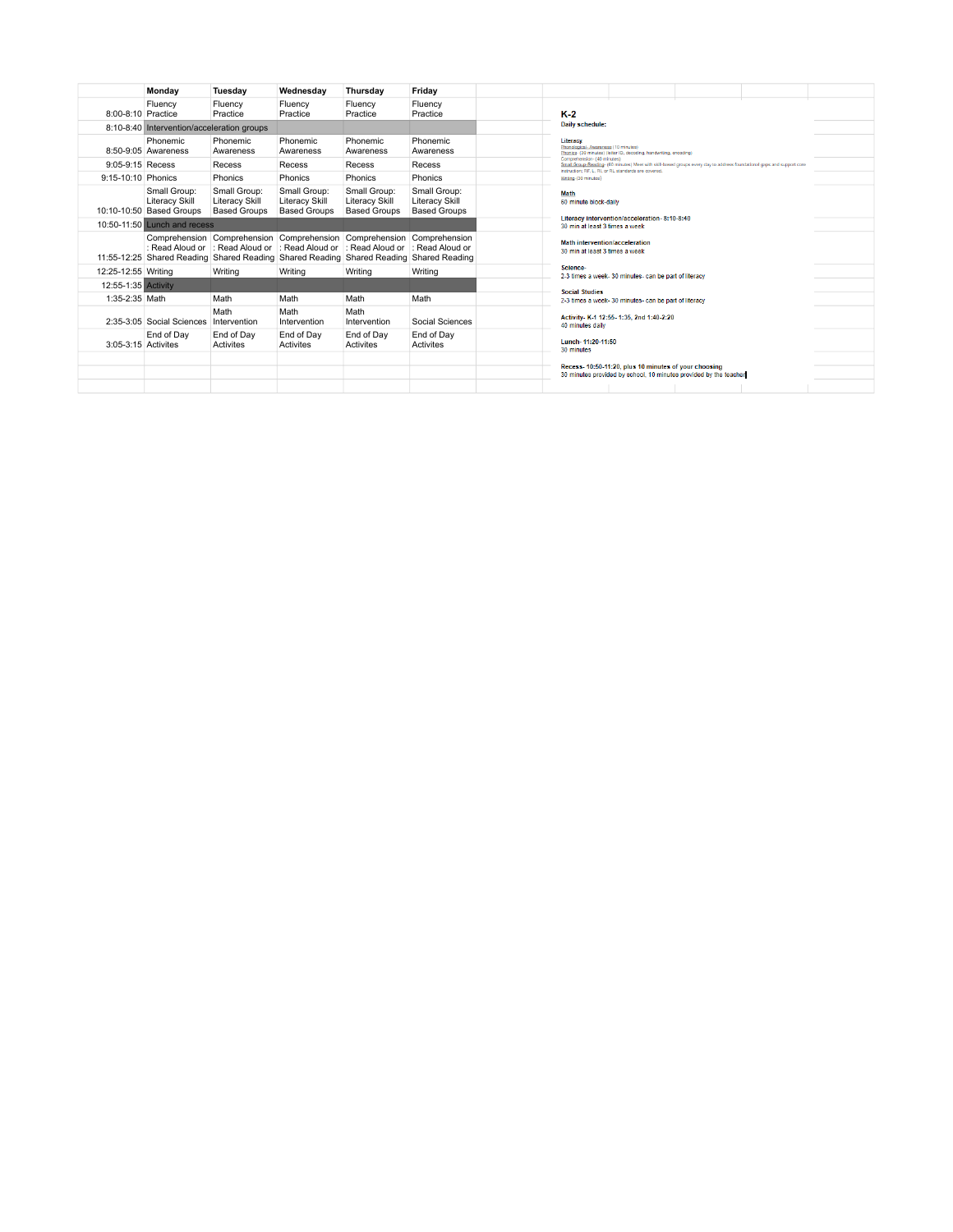|                     | Monday                                                                                 | Tuesdav                                                      | Wednesdav                                             | Thursday                                                                                                                                                     | Friday                                                |                                                                                                                                                                                                               |  |
|---------------------|----------------------------------------------------------------------------------------|--------------------------------------------------------------|-------------------------------------------------------|--------------------------------------------------------------------------------------------------------------------------------------------------------------|-------------------------------------------------------|---------------------------------------------------------------------------------------------------------------------------------------------------------------------------------------------------------------|--|
| 8:00-8:10 Practice  | Fluency                                                                                | Fluency<br>Practice                                          | Fluency<br>Practice                                   | Fluency<br>Practice                                                                                                                                          | Fluency<br>Practice                                   | $K-2$                                                                                                                                                                                                         |  |
|                     | 8:10-8:40 Intervention/acceleration groups                                             |                                                              |                                                       |                                                                                                                                                              |                                                       | Daily schedule:                                                                                                                                                                                               |  |
|                     | Phonemic<br>8:50-9:05 Awareness                                                        | Phonemic<br>Awareness                                        | Phonemic<br>Awareness                                 | Phonemic<br>Awareness                                                                                                                                        | Phonemic<br>Awareness                                 | Literacy<br>Phonological - Awareness (10 minutes)<br>Phonics- (30 minutes) (letter ID, decoding, handwriting, encoding)                                                                                       |  |
| 9:05-9:15 Recess    |                                                                                        | Recess                                                       | Recess                                                | Recess                                                                                                                                                       | Recess                                                | Comprehension- (40 minutes)<br>Small Group-Reading- (60 minutes) Meet with skill-based groups every day to address foundational gaps and support core<br>instruction: RF. L. RI. or RL standards are covered. |  |
| 9:15-10:10 Phonics  |                                                                                        | <b>Phonics</b>                                               | Phonics                                               | Phonics                                                                                                                                                      | Phonics                                               | Writing-(30 minutes)                                                                                                                                                                                          |  |
|                     | Small Group:<br><b>Literacy Skill</b><br>10:10-10:50 Based Groups                      | Small Group:<br><b>Literacy Skill</b><br><b>Based Groups</b> | Small Group:<br>Literacy Skill<br><b>Based Groups</b> | Small Group:<br><b>Literacy Skill</b><br><b>Based Groups</b>                                                                                                 | Small Group:<br>Literacy Skill<br><b>Based Groups</b> | Math<br>60 minute block-daily                                                                                                                                                                                 |  |
|                     | 10:50-11:50 Lunch and recess                                                           |                                                              |                                                       |                                                                                                                                                              |                                                       | Literacy intervention/acceleration-8:10-8:40<br>30 min at least 3 times a week                                                                                                                                |  |
|                     | 11:55-12:25 Shared Reading Shared Reading Shared Reading Shared Reading Shared Reading |                                                              |                                                       | Comprehension Comprehension Comprehension Comprehension Comprehension<br>: Read Aloud or  : Read Aloud or  : Read Aloud or  : Read Aloud or  : Read Aloud or |                                                       | <b>Math intervention/acceleration</b><br>30 min at least 3 times a week                                                                                                                                       |  |
| 12:25-12:55 Writing |                                                                                        | Writing                                                      | Writing                                               | Writing                                                                                                                                                      | Writing                                               | Science-<br>2-3 times a week- 30 minutes- can be part of literacy                                                                                                                                             |  |
| 12:55-1:35 Activity |                                                                                        |                                                              |                                                       |                                                                                                                                                              |                                                       | <b>Social Studies</b>                                                                                                                                                                                         |  |
| 1:35-2:35 Math      |                                                                                        | Math                                                         | Math                                                  | Math                                                                                                                                                         | Math                                                  | 2-3 times a week- 30 minutes- can be part of literacy                                                                                                                                                         |  |
|                     | 2:35-3:05 Social Sciences                                                              | Math<br>Intervention                                         | Math<br>Intervention                                  | Math<br>Intervention                                                                                                                                         | Social Sciences                                       | Activity- K-1 12:55-1:35, 2nd 1:40-2:20<br>40 minutes daily                                                                                                                                                   |  |
| 3:05-3:15 Activites | End of Day                                                                             | End of Day<br>Activites                                      | End of Day<br>Activites                               | End of Day<br>Activites                                                                                                                                      | End of Day<br>Activites                               | Lunch-11:20-11:50<br>30 minutes                                                                                                                                                                               |  |
|                     |                                                                                        |                                                              |                                                       |                                                                                                                                                              |                                                       |                                                                                                                                                                                                               |  |
|                     |                                                                                        |                                                              |                                                       |                                                                                                                                                              |                                                       | Recess-10:50-11:20, plus 10 minutes of your choosing<br>30 minutes provided by school, 10 minutes provided by the teacher                                                                                     |  |
|                     |                                                                                        |                                                              |                                                       |                                                                                                                                                              |                                                       |                                                                                                                                                                                                               |  |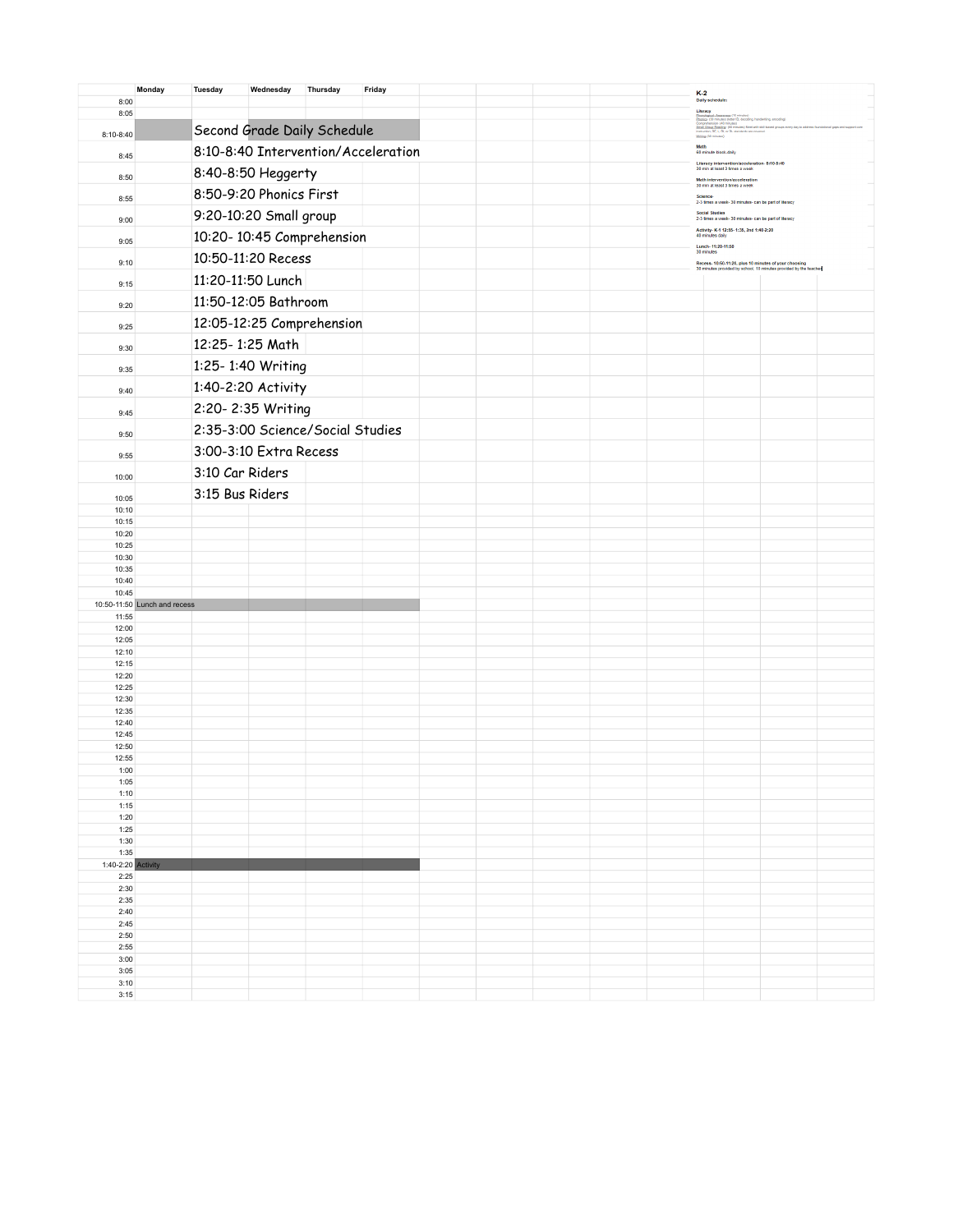|                            | Monday                       | <b>Tuesday</b>  | Wednesday               | Thursday                            | Friday |  |  | K-2<br>Daily schedule:                                                                                                                                                                                                                                                                                |  |
|----------------------------|------------------------------|-----------------|-------------------------|-------------------------------------|--------|--|--|-------------------------------------------------------------------------------------------------------------------------------------------------------------------------------------------------------------------------------------------------------------------------------------------------------|--|
| 8:00                       |                              |                 |                         |                                     |        |  |  | Literacy                                                                                                                                                                                                                                                                                              |  |
| 8:05<br>8:10-8:40          |                              |                 |                         | Second Grade Daily Schedule         |        |  |  | <b>Encourage</b><br><b>Encompassion Americans</b> (10 minutes)<br><b>Encompassion (with the ED, decording)</b><br><b>Companhension (40 minutes)</b><br><b>Encompassion (40 minutes)</b><br><b>Encompassion (60 minutes)</b><br><b>ENGINERIES (80 minutes)</b><br><b>ENGINERIES (8</b><br>Wiling (3) m |  |
| 8:45                       |                              |                 |                         | 8:10-8:40 Intervention/Acceleration |        |  |  | Math<br>60 minute block-daily                                                                                                                                                                                                                                                                         |  |
| 8:50                       |                              |                 | 8:40-8:50 Heggerty      |                                     |        |  |  | Literacy intervention/acceleration-8:10-8:40<br>30 min at least 3 times a week<br>Math intervention/acceleration                                                                                                                                                                                      |  |
| 8:55                       |                              |                 | 8:50-9:20 Phonics First |                                     |        |  |  | 30 min at least 3 times a week<br>Science-<br>2-3 times a week- 30 minutes- can be part of literacy                                                                                                                                                                                                   |  |
| 9:00                       |                              |                 | 9:20-10:20 Small group  |                                     |        |  |  | <b>Social Studies</b><br>2-3 times a week-30 minutes- can be part of literacy                                                                                                                                                                                                                         |  |
|                            |                              |                 |                         | 10:20-10:45 Comprehension           |        |  |  | Activity-K-1 12:55-1:35, 2nd 1:40-2:20<br>40 minutes daily                                                                                                                                                                                                                                            |  |
| 9:05<br>9:10               |                              |                 | 10:50-11:20 Recess      |                                     |        |  |  | Lunch-11:20-11:50<br>30 minutes<br>Recess- 10:50-11:20, plus 10 minutes of your choosing                                                                                                                                                                                                              |  |
| 9:15                       |                              |                 | 11:20-11:50 Lunch       |                                     |        |  |  | 30 minutes provided by school, 10 minutes provided by the teacher                                                                                                                                                                                                                                     |  |
| 9:20                       |                              |                 | 11:50-12:05 Bathroom    |                                     |        |  |  |                                                                                                                                                                                                                                                                                                       |  |
| 9:25                       |                              |                 |                         | 12:05-12:25 Comprehension           |        |  |  |                                                                                                                                                                                                                                                                                                       |  |
| 9:30                       |                              | 12:25-1:25 Math |                         |                                     |        |  |  |                                                                                                                                                                                                                                                                                                       |  |
| 9:35                       |                              |                 | 1:25-1:40 Writing       |                                     |        |  |  |                                                                                                                                                                                                                                                                                                       |  |
| 9:40                       |                              |                 | 1:40-2:20 Activity      |                                     |        |  |  |                                                                                                                                                                                                                                                                                                       |  |
| 9:45                       |                              |                 | 2:20-2:35 Writing       |                                     |        |  |  |                                                                                                                                                                                                                                                                                                       |  |
| 9:50                       |                              |                 |                         | 2:35-3:00 Science/Social Studies    |        |  |  |                                                                                                                                                                                                                                                                                                       |  |
| 9:55                       |                              |                 | 3:00-3:10 Extra Recess  |                                     |        |  |  |                                                                                                                                                                                                                                                                                                       |  |
| 10:00                      |                              | 3:10 Car Riders |                         |                                     |        |  |  |                                                                                                                                                                                                                                                                                                       |  |
| 10:05<br>10:10             |                              | 3:15 Bus Riders |                         |                                     |        |  |  |                                                                                                                                                                                                                                                                                                       |  |
| 10:15                      |                              |                 |                         |                                     |        |  |  |                                                                                                                                                                                                                                                                                                       |  |
| 10:20                      |                              |                 |                         |                                     |        |  |  |                                                                                                                                                                                                                                                                                                       |  |
| 10:25<br>10:30             |                              |                 |                         |                                     |        |  |  |                                                                                                                                                                                                                                                                                                       |  |
| 10:35                      |                              |                 |                         |                                     |        |  |  |                                                                                                                                                                                                                                                                                                       |  |
| 10:40                      |                              |                 |                         |                                     |        |  |  |                                                                                                                                                                                                                                                                                                       |  |
| 10:45                      | 10:50-11:50 Lunch and recess |                 |                         |                                     |        |  |  |                                                                                                                                                                                                                                                                                                       |  |
| 11:55                      |                              |                 |                         |                                     |        |  |  |                                                                                                                                                                                                                                                                                                       |  |
| 12:00                      |                              |                 |                         |                                     |        |  |  |                                                                                                                                                                                                                                                                                                       |  |
| 12:05<br>12:10             |                              |                 |                         |                                     |        |  |  |                                                                                                                                                                                                                                                                                                       |  |
| 12:15                      |                              |                 |                         |                                     |        |  |  |                                                                                                                                                                                                                                                                                                       |  |
| 12:20                      |                              |                 |                         |                                     |        |  |  |                                                                                                                                                                                                                                                                                                       |  |
| 12:25<br>12:30             |                              |                 |                         |                                     |        |  |  |                                                                                                                                                                                                                                                                                                       |  |
| 12:35                      |                              |                 |                         |                                     |        |  |  |                                                                                                                                                                                                                                                                                                       |  |
| 12:40                      |                              |                 |                         |                                     |        |  |  |                                                                                                                                                                                                                                                                                                       |  |
| 12:45                      |                              |                 |                         |                                     |        |  |  |                                                                                                                                                                                                                                                                                                       |  |
| 12:50<br>12:55             |                              |                 |                         |                                     |        |  |  |                                                                                                                                                                                                                                                                                                       |  |
| 1:00                       |                              |                 |                         |                                     |        |  |  |                                                                                                                                                                                                                                                                                                       |  |
| 1:05<br>1:10               |                              |                 |                         |                                     |        |  |  |                                                                                                                                                                                                                                                                                                       |  |
| 1:15                       |                              |                 |                         |                                     |        |  |  |                                                                                                                                                                                                                                                                                                       |  |
| 1:20                       |                              |                 |                         |                                     |        |  |  |                                                                                                                                                                                                                                                                                                       |  |
| 1:25<br>1:30               |                              |                 |                         |                                     |        |  |  |                                                                                                                                                                                                                                                                                                       |  |
| 1:35                       |                              |                 |                         |                                     |        |  |  |                                                                                                                                                                                                                                                                                                       |  |
| 1:40-2:20 Activity<br>2:25 |                              |                 |                         |                                     |        |  |  |                                                                                                                                                                                                                                                                                                       |  |
| 2:30                       |                              |                 |                         |                                     |        |  |  |                                                                                                                                                                                                                                                                                                       |  |
| 2:35<br>2:40               |                              |                 |                         |                                     |        |  |  |                                                                                                                                                                                                                                                                                                       |  |
| 2:45                       |                              |                 |                         |                                     |        |  |  |                                                                                                                                                                                                                                                                                                       |  |
| 2:50                       |                              |                 |                         |                                     |        |  |  |                                                                                                                                                                                                                                                                                                       |  |
| 2:55                       |                              |                 |                         |                                     |        |  |  |                                                                                                                                                                                                                                                                                                       |  |
| 3:00<br>3:05               |                              |                 |                         |                                     |        |  |  |                                                                                                                                                                                                                                                                                                       |  |
| 3:10                       |                              |                 |                         |                                     |        |  |  |                                                                                                                                                                                                                                                                                                       |  |
| 3:15                       |                              |                 |                         |                                     |        |  |  |                                                                                                                                                                                                                                                                                                       |  |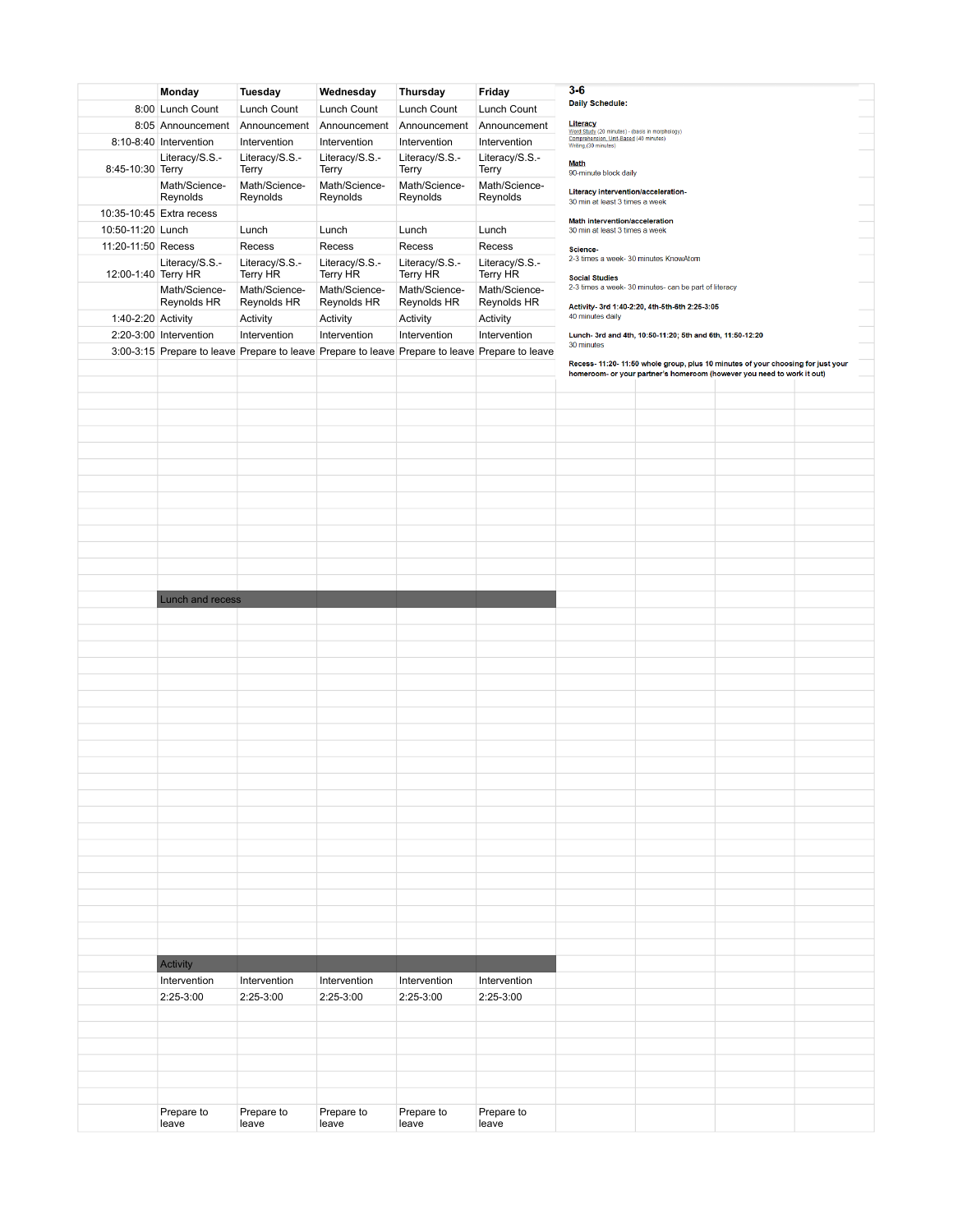|                     | Monday                   | Tuesday                                                                                        | Wednesday      | Thursday       | Friday         | $3 - 6$                                                                                                           |
|---------------------|--------------------------|------------------------------------------------------------------------------------------------|----------------|----------------|----------------|-------------------------------------------------------------------------------------------------------------------|
|                     | 8:00 Lunch Count         | Lunch Count                                                                                    | Lunch Count    | Lunch Count    | Lunch Count    | <b>Daily Schedule:</b>                                                                                            |
|                     |                          |                                                                                                |                |                |                | Literacy                                                                                                          |
|                     | 8:05 Announcement        | Announcement                                                                                   | Announcement   | Announcement   | Announcement   | Word Study (20 minutes) - (basis in morphology)<br>Comprehension, Unit-Based (40 minutes)<br>Writing (30 minutes) |
|                     | 8:10-8:40 Intervention   | Intervention                                                                                   | Intervention   | Intervention   | Intervention   |                                                                                                                   |
|                     | Literacy/S.S.-           | Literacy/S.S.-                                                                                 | Literacy/S.S.- | Literacy/S.S.- | Literacy/S.S.- | <b>Math</b>                                                                                                       |
| 8:45-10:30 Terry    |                          | Terry                                                                                          | Terry          | Terry          | Terry          | 90-minute block daily                                                                                             |
|                     | Math/Science-            | Math/Science-                                                                                  | Math/Science-  | Math/Science-  | Math/Science-  | Literacy intervention/acceleration-                                                                               |
|                     | Reynolds                 | Reynolds                                                                                       | Reynolds       | Reynolds       | Reynolds       | 30 min at least 3 times a week                                                                                    |
|                     | 10:35-10:45 Extra recess |                                                                                                |                |                |                | Math intervention/acceleration                                                                                    |
| 10:50-11:20 Lunch   |                          | Lunch                                                                                          | Lunch          | Lunch          | Lunch          | 30 min at least 3 times a week                                                                                    |
| 11:20-11:50 Recess  |                          | Recess                                                                                         | Recess         | Recess         | Recess         | Science-                                                                                                          |
|                     | Literacy/S.S.-           | Literacy/S.S.-                                                                                 | Literacy/S.S.- | Literacy/S.S.- | Literacy/S.S.- | 2-3 times a week- 30 minutes KnowAtom                                                                             |
| 12:00-1:40 Terry HR |                          | Terry HR                                                                                       | Terry HR       | Terry HR       | Terry HR       | <b>Social Studies</b>                                                                                             |
|                     | Math/Science-            | Math/Science-                                                                                  | Math/Science-  | Math/Science-  | Math/Science-  | 2-3 times a week-30 minutes- can be part of literacy                                                              |
|                     | Reynolds HR              | Reynolds HR                                                                                    | Reynolds HR    | Reynolds HR    | Reynolds HR    | Activity- 3rd 1:40-2:20, 4th-5th-6th 2:25-3:05                                                                    |
| 1:40-2:20 Activity  |                          | Activity                                                                                       | Activity       | Activity       | Activity       | 40 minutes daily                                                                                                  |
|                     | 2:20-3:00 Intervention   | Intervention                                                                                   | Intervention   | Intervention   | Intervention   | Lunch- 3rd and 4th, 10:50-11:20; 5th and 6th, 11:50-12:20                                                         |
|                     |                          | 3:00-3:15 Prepare to leave Prepare to leave Prepare to leave Prepare to leave Prepare to leave |                |                |                | 30 minutes                                                                                                        |
|                     |                          |                                                                                                |                |                |                | Recess- 11:20- 11:50 whole group, plus 10 minutes of your choosing for just your                                  |
|                     |                          |                                                                                                |                |                |                | homeroom- or your partner's homeroom (however you need to work it out)                                            |
|                     |                          |                                                                                                |                |                |                |                                                                                                                   |
|                     |                          |                                                                                                |                |                |                |                                                                                                                   |
|                     |                          |                                                                                                |                |                |                |                                                                                                                   |
|                     |                          |                                                                                                |                |                |                |                                                                                                                   |
|                     |                          |                                                                                                |                |                |                |                                                                                                                   |
|                     |                          |                                                                                                |                |                |                |                                                                                                                   |
|                     |                          |                                                                                                |                |                |                |                                                                                                                   |
|                     |                          |                                                                                                |                |                |                |                                                                                                                   |
|                     |                          |                                                                                                |                |                |                |                                                                                                                   |
|                     |                          |                                                                                                |                |                |                |                                                                                                                   |
|                     |                          |                                                                                                |                |                |                |                                                                                                                   |
|                     |                          |                                                                                                |                |                |                |                                                                                                                   |
|                     |                          |                                                                                                |                |                |                |                                                                                                                   |
|                     |                          |                                                                                                |                |                |                |                                                                                                                   |
|                     | Lunch and recess         |                                                                                                |                |                |                |                                                                                                                   |
|                     |                          |                                                                                                |                |                |                |                                                                                                                   |
|                     |                          |                                                                                                |                |                |                |                                                                                                                   |
|                     |                          |                                                                                                |                |                |                |                                                                                                                   |
|                     |                          |                                                                                                |                |                |                |                                                                                                                   |
|                     |                          |                                                                                                |                |                |                |                                                                                                                   |
|                     |                          |                                                                                                |                |                |                |                                                                                                                   |
|                     |                          |                                                                                                |                |                |                |                                                                                                                   |
|                     |                          |                                                                                                |                |                |                |                                                                                                                   |
|                     |                          |                                                                                                |                |                |                |                                                                                                                   |
|                     |                          |                                                                                                |                |                |                |                                                                                                                   |
|                     |                          |                                                                                                |                |                |                |                                                                                                                   |
|                     |                          |                                                                                                |                |                |                |                                                                                                                   |
|                     |                          |                                                                                                |                |                |                |                                                                                                                   |
|                     |                          |                                                                                                |                |                |                |                                                                                                                   |
|                     |                          |                                                                                                |                |                |                |                                                                                                                   |
|                     |                          |                                                                                                |                |                |                |                                                                                                                   |
|                     |                          |                                                                                                |                |                |                |                                                                                                                   |
|                     |                          |                                                                                                |                |                |                |                                                                                                                   |
|                     |                          |                                                                                                |                |                |                |                                                                                                                   |
|                     |                          |                                                                                                |                |                |                |                                                                                                                   |
|                     |                          |                                                                                                |                |                |                |                                                                                                                   |
|                     |                          |                                                                                                |                |                |                |                                                                                                                   |
|                     |                          |                                                                                                |                |                |                |                                                                                                                   |
|                     |                          |                                                                                                |                |                |                |                                                                                                                   |
|                     | Activity                 |                                                                                                |                |                |                |                                                                                                                   |
|                     | Intervention             | Intervention                                                                                   | Intervention   | Intervention   | Intervention   |                                                                                                                   |
|                     | 2:25-3:00                | 2:25-3:00                                                                                      | $2:25-3:00$    | 2:25-3:00      | 2:25-3:00      |                                                                                                                   |
|                     |                          |                                                                                                |                |                |                |                                                                                                                   |
|                     |                          |                                                                                                |                |                |                |                                                                                                                   |
|                     |                          |                                                                                                |                |                |                |                                                                                                                   |
|                     |                          |                                                                                                |                |                |                |                                                                                                                   |
|                     |                          |                                                                                                |                |                |                |                                                                                                                   |
|                     |                          |                                                                                                |                |                |                |                                                                                                                   |
|                     |                          |                                                                                                |                |                |                |                                                                                                                   |
|                     | Prepare to               | Prepare to                                                                                     | Prepare to     | Prepare to     | Prepare to     |                                                                                                                   |
|                     | leave                    | leave                                                                                          | leave          | leave          | leave          |                                                                                                                   |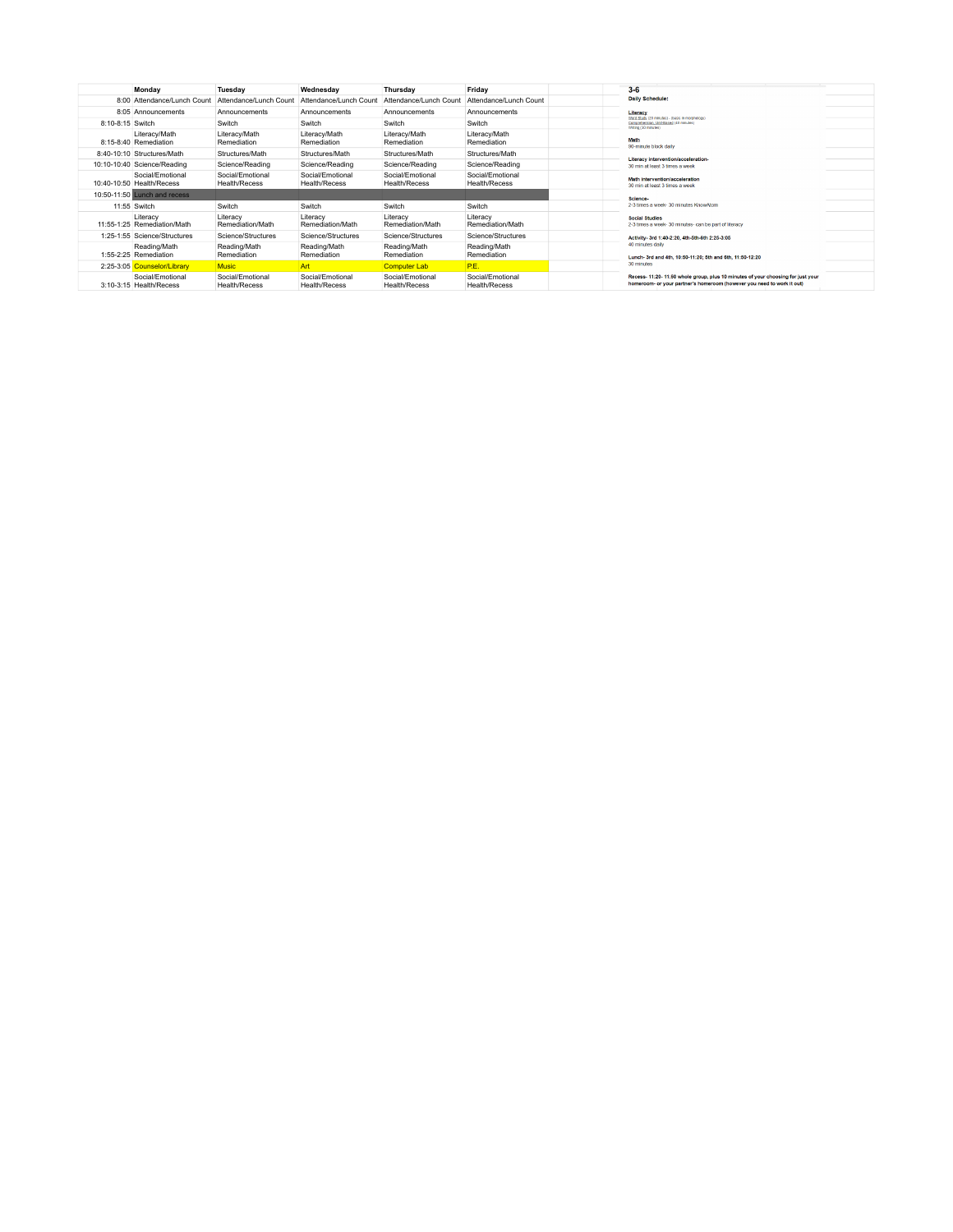|                  | Monday                                        | Tuesday                                  | Wednesday                                | Thursday                                 | Friday                                   | $3 - 6$                                                                                                                                                  |  |
|------------------|-----------------------------------------------|------------------------------------------|------------------------------------------|------------------------------------------|------------------------------------------|----------------------------------------------------------------------------------------------------------------------------------------------------------|--|
|                  | 8:00 Attendance/Lunch Count                   | Attendance/Lunch Count                   | Attendance/Lunch Count                   | Attendance/Lunch Count                   | Attendance/Lunch Count                   | Daily Schedule:                                                                                                                                          |  |
|                  | 8:05 Announcements                            | Announcements                            | Announcements                            | Announcements                            | Announcements                            | Literacy<br>Word Study (20 minutes) - (basis in morphology)                                                                                              |  |
| 8:10-8:15 Switch |                                               | Switch                                   | Switch                                   | Switch                                   | Switch                                   | Comprehension, Unit-Based (40 minutes)<br>Writing (30 minutes)                                                                                           |  |
|                  | Literacy/Math<br>8:15-8:40 Remediation        | Literacy/Math<br>Remediation             | Literacy/Math<br>Remediation             | Literacy/Math<br>Remediation             | Literacy/Math<br>Remediation             | Math<br>90-minute block daily                                                                                                                            |  |
|                  | 8:40-10:10 Structures/Math                    | Structures/Math                          | Structures/Math                          | Structures/Math                          | Structures/Math                          | Literacy intervention/acceleration-                                                                                                                      |  |
|                  | 10:10-10:40 Science/Reading                   | Science/Reading                          | Science/Reading                          | Science/Reading                          | Science/Reading                          | 30 min at least 3 times a week                                                                                                                           |  |
|                  | Social/Emotional<br>10:40-10:50 Health/Recess | Social/Emotional<br><b>Health/Recess</b> | Social/Emotional<br><b>Health/Recess</b> | Social/Emotional<br><b>Health/Recess</b> | Social/Emotional<br>Health/Recess        | Math intervention/acceleration<br>30 min at least 3 times a week                                                                                         |  |
|                  | 10:50-11:50 Lunch and recess                  |                                          |                                          |                                          |                                          | <b>Science</b>                                                                                                                                           |  |
|                  | 11:55 Switch                                  | Switch                                   | Switch                                   | Switch                                   | Switch                                   | 2-3 times a week- 30 minutes KnowAtom                                                                                                                    |  |
|                  | Literacy<br>11:55-1:25 Remediation/Math       | Literacy<br>Remediation/Math             | Literacy<br>Remediation/Math             | Literacy<br>Remediation/Math             | Literacy<br>Remediation/Math             | <b>Social Studies</b><br>2-3 times a week-30 minutes- can be part of literacy                                                                            |  |
|                  | 1:25-1:55 Science/Structures                  | Science/Structures                       | Science/Structures                       | Science/Structures                       | Science/Structures                       | Activity- 3rd 1:40-2:20, 4th-5th-6th 2:25-3:05                                                                                                           |  |
|                  | Reading/Math<br>1:55-2:25 Remediation         | Reading/Math<br>Remediation              | Reading/Math<br>Remediation              | Reading/Math<br>Remediation              | Reading/Math<br>Remediation              | 40 minutes daily<br>Lunch- 3rd and 4th, 10:50-11:20: 5th and 6th, 11:50-12:20                                                                            |  |
|                  | 2:25-3:05 Counselor/Library                   | <b>Music</b>                             | Art                                      | <b>Computer Lab</b>                      | P.E.                                     | 30 minutes                                                                                                                                               |  |
|                  | Social/Emotional<br>3:10-3:15 Health/Recess   | Social/Emotional<br><b>Health/Recess</b> | Social/Emotional<br><b>Health/Recess</b> | Social/Emotional<br><b>Health/Recess</b> | Social/Emotional<br><b>Health/Recess</b> | Recess-11:20-11:50 whole group, plus 10 minutes of your choosing for just your<br>homeroom- or your partner's homeroom (however you need to work it out) |  |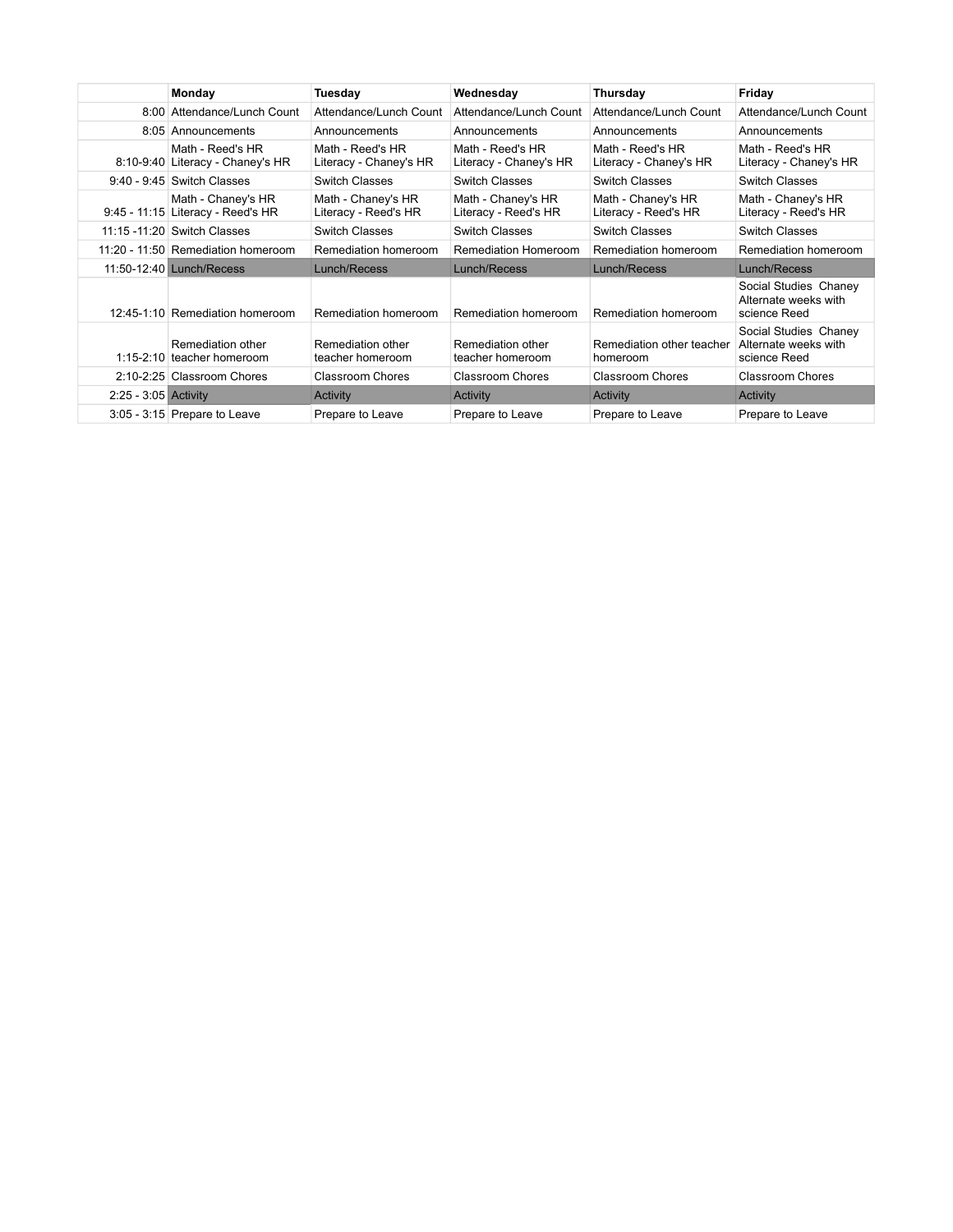|                        | Monday                                                  | Tuesday                                    | Wednesday                                  | Thursday                                   | Friday                                                        |
|------------------------|---------------------------------------------------------|--------------------------------------------|--------------------------------------------|--------------------------------------------|---------------------------------------------------------------|
|                        | 8:00 Attendance/Lunch Count                             | Attendance/Lunch Count                     | Attendance/Lunch Count                     | Attendance/Lunch Count                     | Attendance/Lunch Count                                        |
|                        | 8:05 Announcements                                      | Announcements                              | Announcements                              | Announcements                              | Announcements                                                 |
|                        | Math - Reed's HR<br>8:10-9:40 Literacy - Chaney's HR    | Math - Reed's HR<br>Literacy - Chaney's HR | Math - Reed's HR<br>Literacy - Chaney's HR | Math - Reed's HR<br>Literacy - Chaney's HR | Math - Reed's HR<br>Literacy - Chaney's HR                    |
|                        | $9:40 - 9:45$ Switch Classes                            | <b>Switch Classes</b>                      | <b>Switch Classes</b>                      | <b>Switch Classes</b>                      | <b>Switch Classes</b>                                         |
|                        | Math - Chaney's HR<br>9:45 - 11:15 Literacy - Reed's HR | Math - Chaney's HR<br>Literacy - Reed's HR | Math - Chaney's HR<br>Literacy - Reed's HR | Math - Chaney's HR<br>Literacy - Reed's HR | Math - Chaney's HR<br>Literacy - Reed's HR                    |
|                        | 11:15 -11:20 Switch Classes                             | Switch Classes                             | <b>Switch Classes</b>                      | <b>Switch Classes</b>                      | Switch Classes                                                |
|                        | 11:20 - 11:50 Remediation homeroom                      | Remediation homeroom                       | Remediation Homeroom                       | Remediation homeroom                       | Remediation homeroom                                          |
|                        | 11:50-12:40 Lunch/Recess                                | Lunch/Recess                               | Lunch/Recess                               | Lunch/Recess                               | Lunch/Recess                                                  |
|                        | 12:45-1:10 Remediation homeroom                         | Remediation homeroom                       | Remediation homeroom                       | Remediation homeroom                       | Social Studies Chaney<br>Alternate weeks with<br>science Reed |
|                        | Remediation other<br>1:15-2:10 teacher homeroom         | Remediation other<br>teacher homeroom      | Remediation other<br>teacher homeroom      | Remediation other teacher<br>homeroom      | Social Studies Chaney<br>Alternate weeks with<br>science Reed |
|                        | 2:10-2:25 Classroom Chores                              | <b>Classroom Chores</b>                    | <b>Classroom Chores</b>                    | Classroom Chores                           | <b>Classroom Chores</b>                                       |
| $2:25 - 3:05$ Activity |                                                         | Activity                                   | Activity                                   | Activity                                   | Activity                                                      |
|                        | $3:05 - 3:15$ Prepare to Leave                          | Prepare to Leave                           | Prepare to Leave                           | Prepare to Leave                           | Prepare to Leave                                              |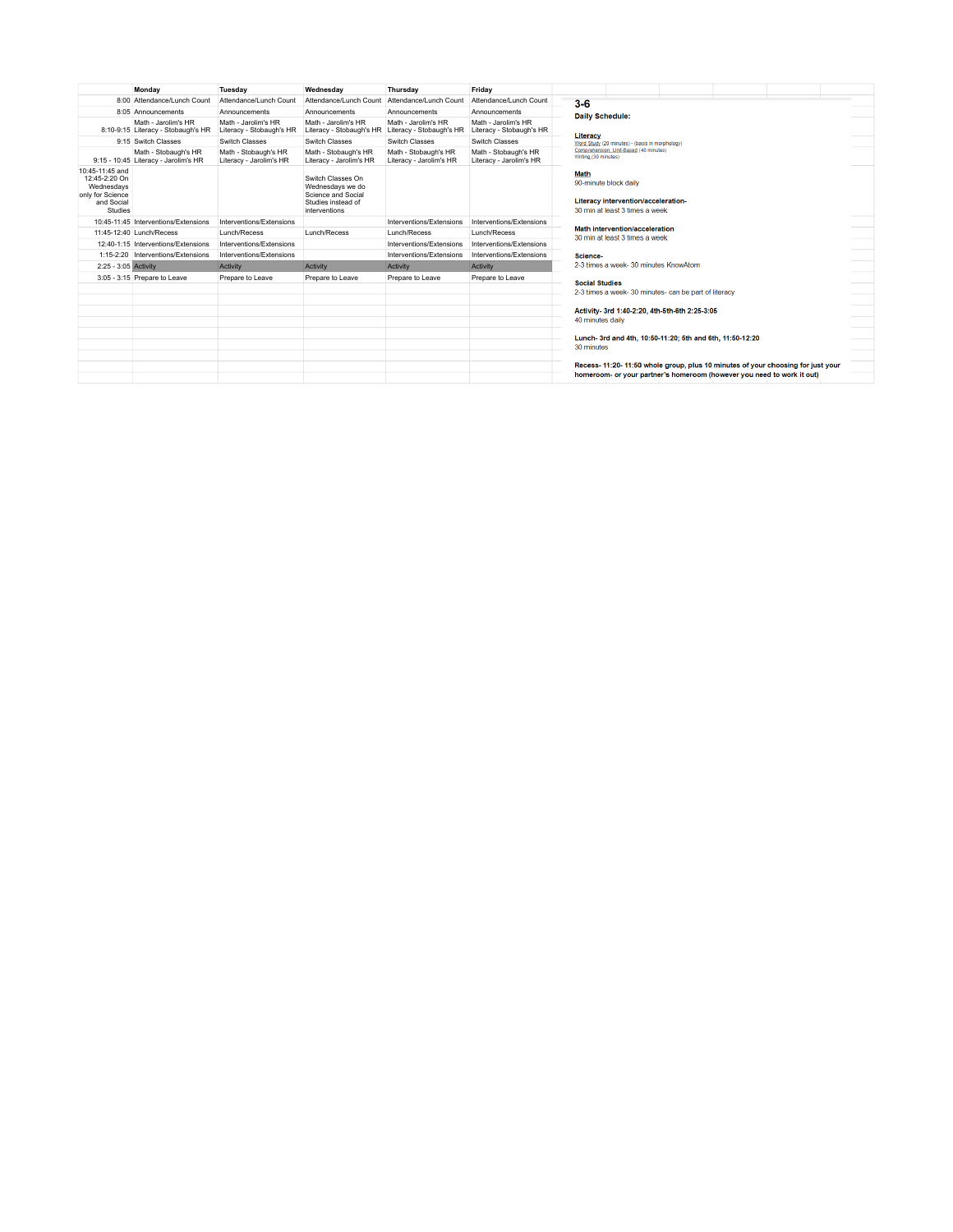|                                                                                             | Monday                                                       | Tuesday                                         | Wednesday                                                                                          | Thursday                                        | Friday                                          |                                                                                                                                                          |  |  |  |  |
|---------------------------------------------------------------------------------------------|--------------------------------------------------------------|-------------------------------------------------|----------------------------------------------------------------------------------------------------|-------------------------------------------------|-------------------------------------------------|----------------------------------------------------------------------------------------------------------------------------------------------------------|--|--|--|--|
|                                                                                             | 8:00 Attendance/Lunch Count                                  | Attendance/Lunch Count                          | Attendance/Lunch Count                                                                             | Attendance/Lunch Count                          | Attendance/Lunch Count                          | $3-6$                                                                                                                                                    |  |  |  |  |
|                                                                                             | 8:05 Announcements                                           | Announcements                                   | Announcements                                                                                      | Announcements                                   | Announcements                                   | <b>Daily Schedule:</b><br>Literacy                                                                                                                       |  |  |  |  |
|                                                                                             | Math - Jarolim's HR<br>8:10-9:15 Literacy - Stobaugh's HR    | Math - Jarolim's HR<br>Literacy - Stobaugh's HR | Math - Jarolim's HR<br>Literacy - Stobaugh's HR                                                    | Math - Jarolim's HR<br>Literacy - Stobaugh's HR | Math - Jarolim's HR<br>Literacy - Stobaugh's HR |                                                                                                                                                          |  |  |  |  |
|                                                                                             | 9:15 Switch Classes                                          | Switch Classes                                  | Switch Classes                                                                                     | Switch Classes                                  | Switch Classes                                  | Word Study (20 minutes) - (basis in morphology)                                                                                                          |  |  |  |  |
|                                                                                             | Math - Stobaugh's HR<br>9:15 - 10:45 Literacy - Jarolim's HR | Math - Stobaugh's HR<br>Literacy - Jarolim's HR | Math - Stobaugh's HR<br>Literacy - Jarolim's HR                                                    | Math - Stobaugh's HR<br>Literacy - Jarolim's HR | Math - Stobaugh's HR<br>Literacy - Jarolim's HR | Comprehension, Unit-Based (40 minutes)<br>Writing (30 minutes)                                                                                           |  |  |  |  |
| 10:45-11:45 and<br>12:45-2:20 On<br>Wednesdavs<br>only for Science<br>and Social<br>Studies |                                                              |                                                 | Switch Classes On<br>Wednesdays we do<br>Science and Social<br>Studies instead of<br>interventions |                                                 |                                                 | <b>Math</b><br>90-minute block daily<br>Literacy intervention/acceleration-<br>30 min at least 3 times a week                                            |  |  |  |  |
|                                                                                             | 10:45-11:45 Interventions/Extensions                         | Interventions/Extensions                        |                                                                                                    | Interventions/Extensions                        | Interventions/Extensions                        |                                                                                                                                                          |  |  |  |  |
|                                                                                             | 11:45-12:40 Lunch/Recess                                     | Lunch/Recess                                    | Lunch/Recess                                                                                       | Lunch/Recess                                    | Lunch/Recess                                    | Math intervention/acceleration<br>30 min at least 3 times a week                                                                                         |  |  |  |  |
|                                                                                             | 12:40-1:15 Interventions/Extensions                          | Interventions/Extensions                        |                                                                                                    | Interventions/Extensions                        | Interventions/Extensions                        |                                                                                                                                                          |  |  |  |  |
|                                                                                             | 1:15-2:20 Interventions/Extensions                           | Interventions/Extensions                        |                                                                                                    | Interventions/Extensions                        | Interventions/Extensions                        | Science-                                                                                                                                                 |  |  |  |  |
| 2:25 - 3:05 Activity                                                                        |                                                              | Activity                                        | Activity                                                                                           | Activity                                        | Activity                                        | 2-3 times a week-30 minutes KnowAtom                                                                                                                     |  |  |  |  |
|                                                                                             | 3:05 - 3:15 Prepare to Leave                                 | Prepare to Leave                                | Prepare to Leave                                                                                   | Prepare to Leave                                | Prepare to Leave                                | <b>Social Studies</b><br>2-3 times a week- 30 minutes- can be part of literacy                                                                           |  |  |  |  |
|                                                                                             |                                                              |                                                 |                                                                                                    |                                                 |                                                 | Activity- 3rd 1:40-2:20, 4th-5th-6th 2:25-3:05<br>40 minutes daily                                                                                       |  |  |  |  |
|                                                                                             |                                                              |                                                 |                                                                                                    |                                                 |                                                 | Lunch- 3rd and 4th, 10:50-11:20; 5th and 6th, 11:50-12:20<br>30 minutes                                                                                  |  |  |  |  |
|                                                                                             |                                                              |                                                 |                                                                                                    |                                                 |                                                 | Recess-11:20-11:50 whole group, plus 10 minutes of your choosing for just your<br>homeroom- or your partner's homeroom (however you need to work it out) |  |  |  |  |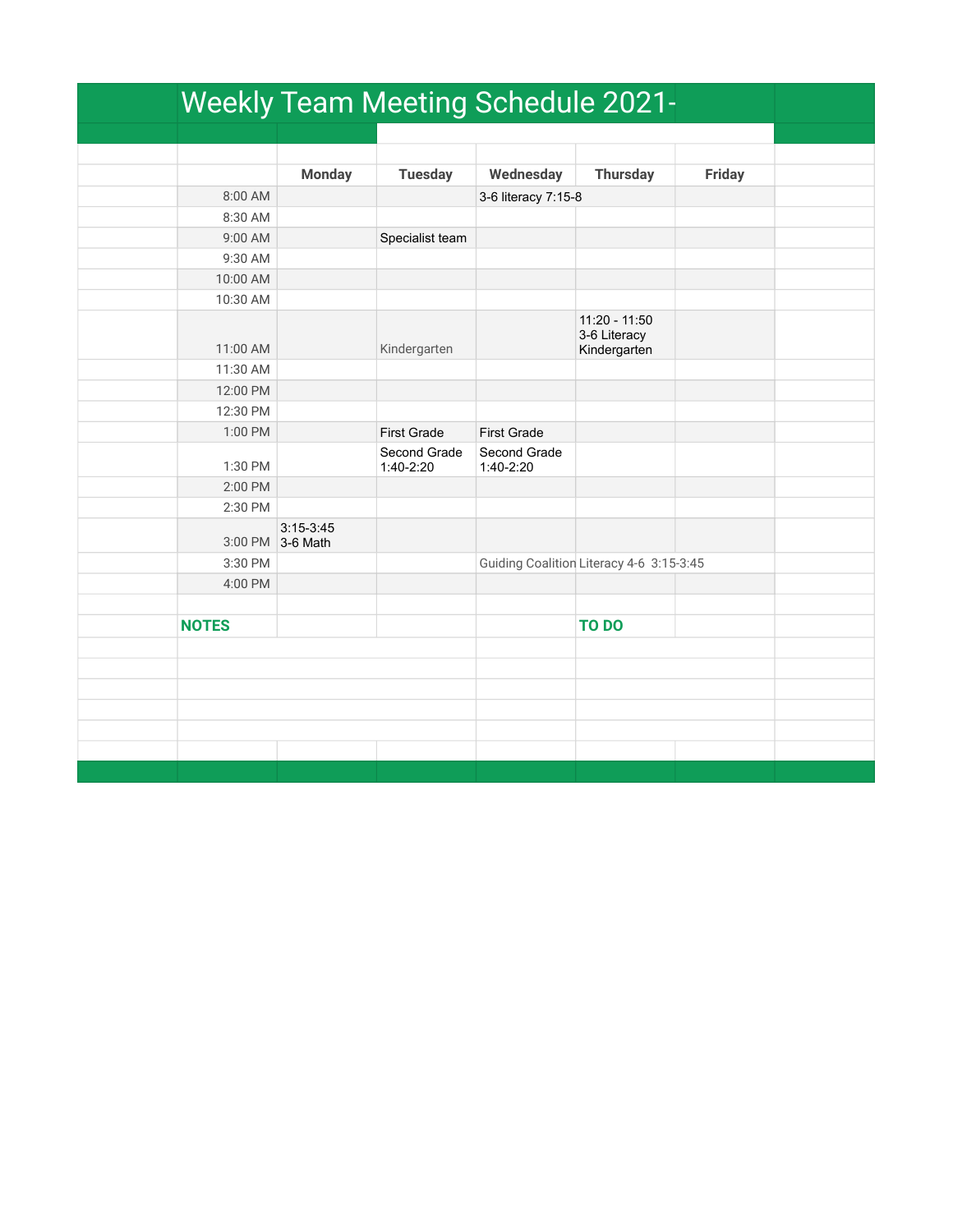|              |                                 | <b>Weekly Team Meeting Schedule 2021-</b> |                             |                                               |               |
|--------------|---------------------------------|-------------------------------------------|-----------------------------|-----------------------------------------------|---------------|
|              |                                 |                                           |                             |                                               |               |
|              |                                 |                                           |                             |                                               |               |
|              | <b>Monday</b>                   | <b>Tuesday</b>                            | Wednesday                   | <b>Thursday</b>                               | <b>Friday</b> |
| 8:00 AM      |                                 |                                           | 3-6 literacy 7:15-8         |                                               |               |
| 8:30 AM      |                                 |                                           |                             |                                               |               |
| 9:00 AM      |                                 | Specialist team                           |                             |                                               |               |
| 9:30 AM      |                                 |                                           |                             |                                               |               |
| 10:00 AM     |                                 |                                           |                             |                                               |               |
| 10:30 AM     |                                 |                                           |                             |                                               |               |
| 11:00 AM     |                                 | Kindergarten                              |                             | 11:20 - 11:50<br>3-6 Literacy<br>Kindergarten |               |
| 11:30 AM     |                                 |                                           |                             |                                               |               |
| 12:00 PM     |                                 |                                           |                             |                                               |               |
| 12:30 PM     |                                 |                                           |                             |                                               |               |
| 1:00 PM      |                                 | <b>First Grade</b>                        | <b>First Grade</b>          |                                               |               |
| 1:30 PM      |                                 | Second Grade<br>$1:40-2:20$               | Second Grade<br>$1:40-2:20$ |                                               |               |
| 2:00 PM      |                                 |                                           |                             |                                               |               |
| 2:30 PM      |                                 |                                           |                             |                                               |               |
|              | $3:15-3:45$<br>3:00 PM 3-6 Math |                                           |                             |                                               |               |
| 3:30 PM      |                                 |                                           |                             | Guiding Coalition Literacy 4-6 3:15-3:45      |               |
| 4:00 PM      |                                 |                                           |                             |                                               |               |
|              |                                 |                                           |                             |                                               |               |
| <b>NOTES</b> |                                 |                                           |                             | <b>TO DO</b>                                  |               |
|              |                                 |                                           |                             |                                               |               |
|              |                                 |                                           |                             |                                               |               |
|              |                                 |                                           |                             |                                               |               |
|              |                                 |                                           |                             |                                               |               |
|              |                                 |                                           |                             |                                               |               |
|              |                                 |                                           |                             |                                               |               |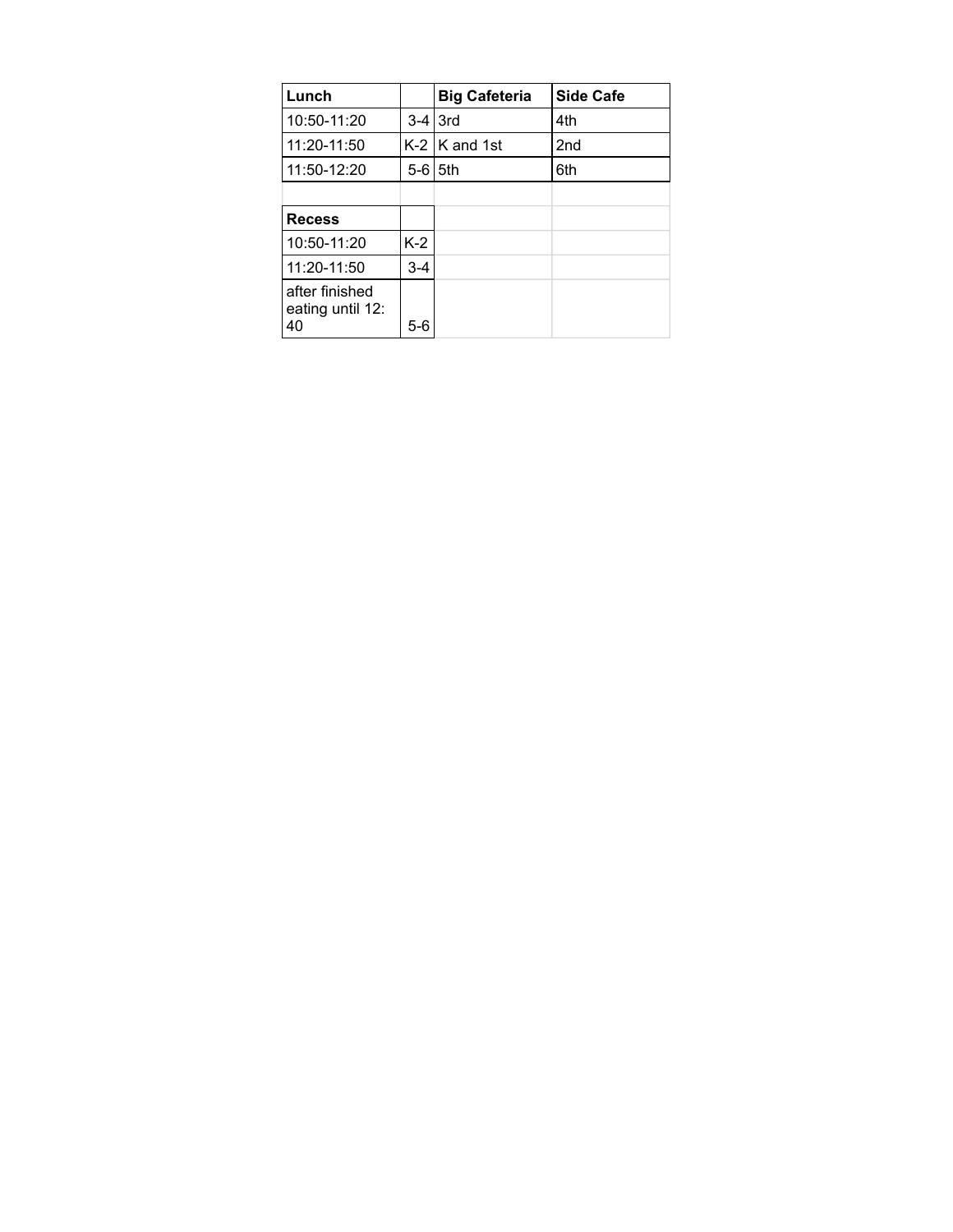| Lunch                                    |               | <b>Big Cafeteria</b> | <b>Side Cafe</b> |
|------------------------------------------|---------------|----------------------|------------------|
| 10:50-11:20                              |               | $3-4$ 3rd            | 4th              |
| 11:20-11:50                              |               | $K-2$ $K$ and 1st    | 2 <sub>nd</sub>  |
| 11:50-12:20                              | $5-6$ $15$ th |                      | 6th              |
|                                          |               |                      |                  |
| <b>Recess</b>                            |               |                      |                  |
| 10:50-11:20                              | $K-2$         |                      |                  |
| 11:20-11:50                              | $3 - 4$       |                      |                  |
| after finished<br>eating until 12:<br>40 | 5-6           |                      |                  |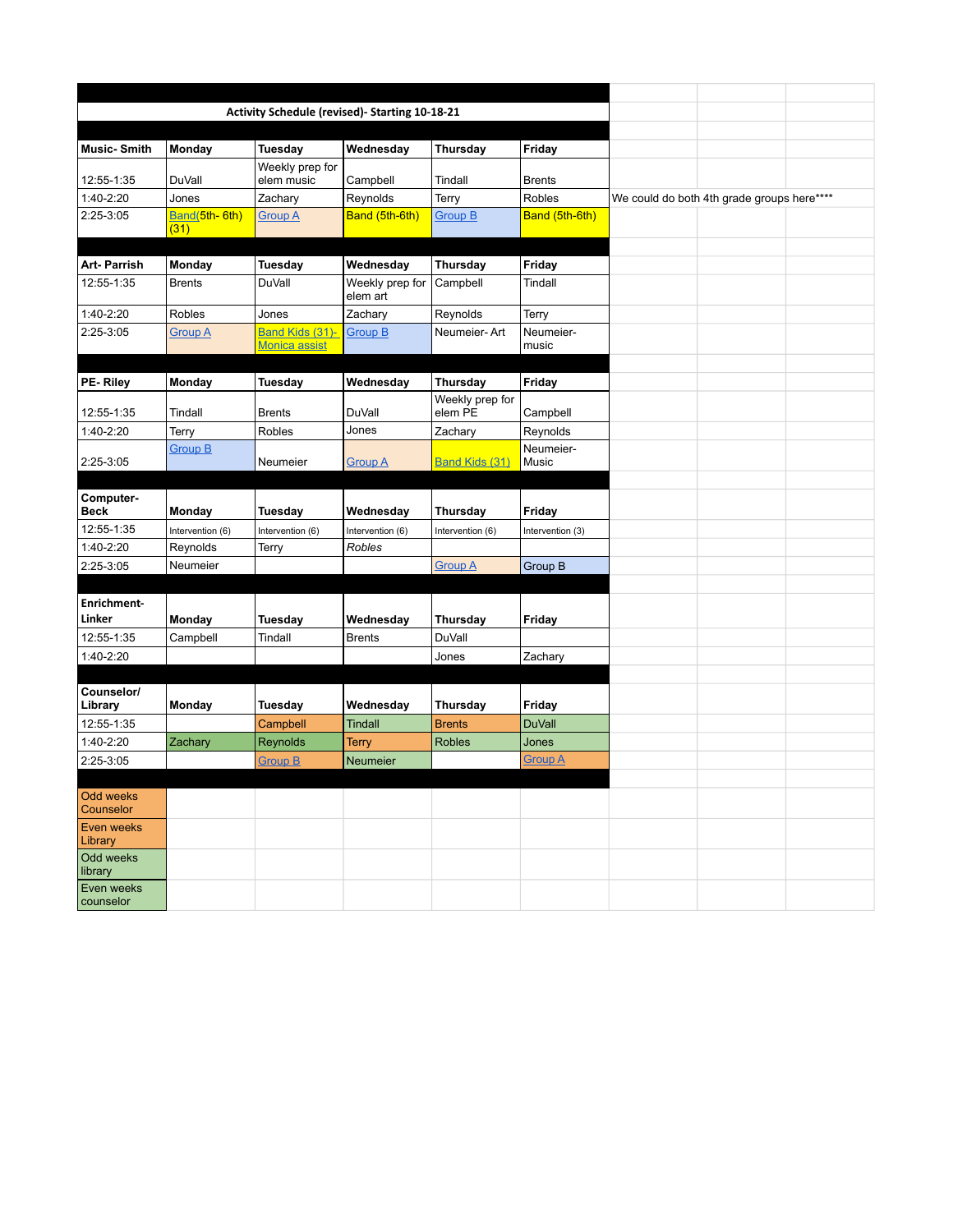|                         |                       | Activity Schedule (revised)- Starting 10-18-21 |                             |                            |                    |                                            |  |
|-------------------------|-----------------------|------------------------------------------------|-----------------------------|----------------------------|--------------------|--------------------------------------------|--|
|                         |                       |                                                |                             |                            |                    |                                            |  |
| <b>Music-Smith</b>      | Monday                | Tuesday                                        | Wednesday                   | Thursday                   | Friday             |                                            |  |
| 12:55-1:35              | <b>DuVall</b>         | Weekly prep for<br>elem music                  | Campbell                    | Tindall                    | <b>Brents</b>      |                                            |  |
| 1:40-2:20               | Jones                 | Zachary                                        | Reynolds                    | Terry                      | Robles             | We could do both 4th grade groups here**** |  |
| $2:25-3:05$             | Band(5th-6th)<br>(31) | <b>Group A</b>                                 | Band (5th-6th)              | Group B                    | Band (5th-6th)     |                                            |  |
|                         |                       |                                                |                             |                            |                    |                                            |  |
| <b>Art-Parrish</b>      | Monday                | Tuesday                                        | Wednesday                   | Thursday                   | Friday             |                                            |  |
| 12:55-1:35              | <b>Brents</b>         | <b>DuVall</b>                                  | Weekly prep for<br>elem art | Campbell                   | Tindall            |                                            |  |
| 1:40-2:20               | <b>Robles</b>         | Jones                                          | Zachary                     | Reynolds                   | Terry              |                                            |  |
| 2:25-3:05               | <b>Group A</b>        | Band Kids (31)-<br><b>Monica assist</b>        | <b>Group B</b>              | Neumeier-Art               | Neumeier-<br>music |                                            |  |
|                         |                       |                                                |                             |                            |                    |                                            |  |
| PE-Riley                | Monday                | Tuesday                                        | Wednesday                   | Thursday                   | Friday             |                                            |  |
| 12:55-1:35              | Tindall               | <b>Brents</b>                                  | <b>DuVall</b>               | Weekly prep for<br>elem PE | Campbell           |                                            |  |
| 1:40-2:20               | Terry                 | Robles                                         | Jones                       | Zachary                    | Reynolds           |                                            |  |
| 2:25-3:05               | <b>Group B</b>        | Neumeier                                       | <b>Group A</b>              | <b>Band Kids (31)</b>      | Neumeier-<br>Music |                                            |  |
|                         |                       |                                                |                             |                            |                    |                                            |  |
| Computer-<br>Beck       | Monday                | Tuesday                                        | Wednesday                   | Thursday                   | Friday             |                                            |  |
| 12:55-1:35              | Intervention (6)      | Intervention (6)                               | Intervention (6)            | Intervention (6)           | Intervention (3)   |                                            |  |
| 1:40-2:20               | Reynolds              | Terry                                          | Robles                      |                            |                    |                                            |  |
| 2:25-3:05               | Neumeier              |                                                |                             | <b>Group A</b>             | Group B            |                                            |  |
|                         |                       |                                                |                             |                            |                    |                                            |  |
| <b>Enrichment-</b>      |                       |                                                |                             |                            |                    |                                            |  |
| Linker                  | Monday                | Tuesday                                        | Wednesday                   | Thursday                   | Friday             |                                            |  |
| 12:55-1:35              | Campbell              | Tindall                                        | <b>Brents</b>               | <b>DuVall</b>              |                    |                                            |  |
| 1:40-2:20               |                       |                                                |                             | Jones                      | Zachary            |                                            |  |
|                         |                       |                                                |                             |                            |                    |                                            |  |
| Counselor/<br>Library   | Monday                | Tuesday                                        | Wednesday                   | Thursday                   | Friday             |                                            |  |
| 12:55-1:35              |                       | Campbell                                       | <b>Tindall</b>              | <b>Brents</b>              | <b>DuVall</b>      |                                            |  |
| 1:40-2:20               | Zachary               | Reynolds                                       | Terry                       | <b>Robles</b>              | Jones              |                                            |  |
| 2:25-3:05               |                       | <b>Group B</b>                                 | Neumeier                    |                            | <u>Group A</u>     |                                            |  |
|                         |                       |                                                |                             |                            |                    |                                            |  |
| Odd weeks<br>Counselor  |                       |                                                |                             |                            |                    |                                            |  |
| Even weeks<br>Library   |                       |                                                |                             |                            |                    |                                            |  |
| Odd weeks<br>library    |                       |                                                |                             |                            |                    |                                            |  |
| Even weeks<br>counselor |                       |                                                |                             |                            |                    |                                            |  |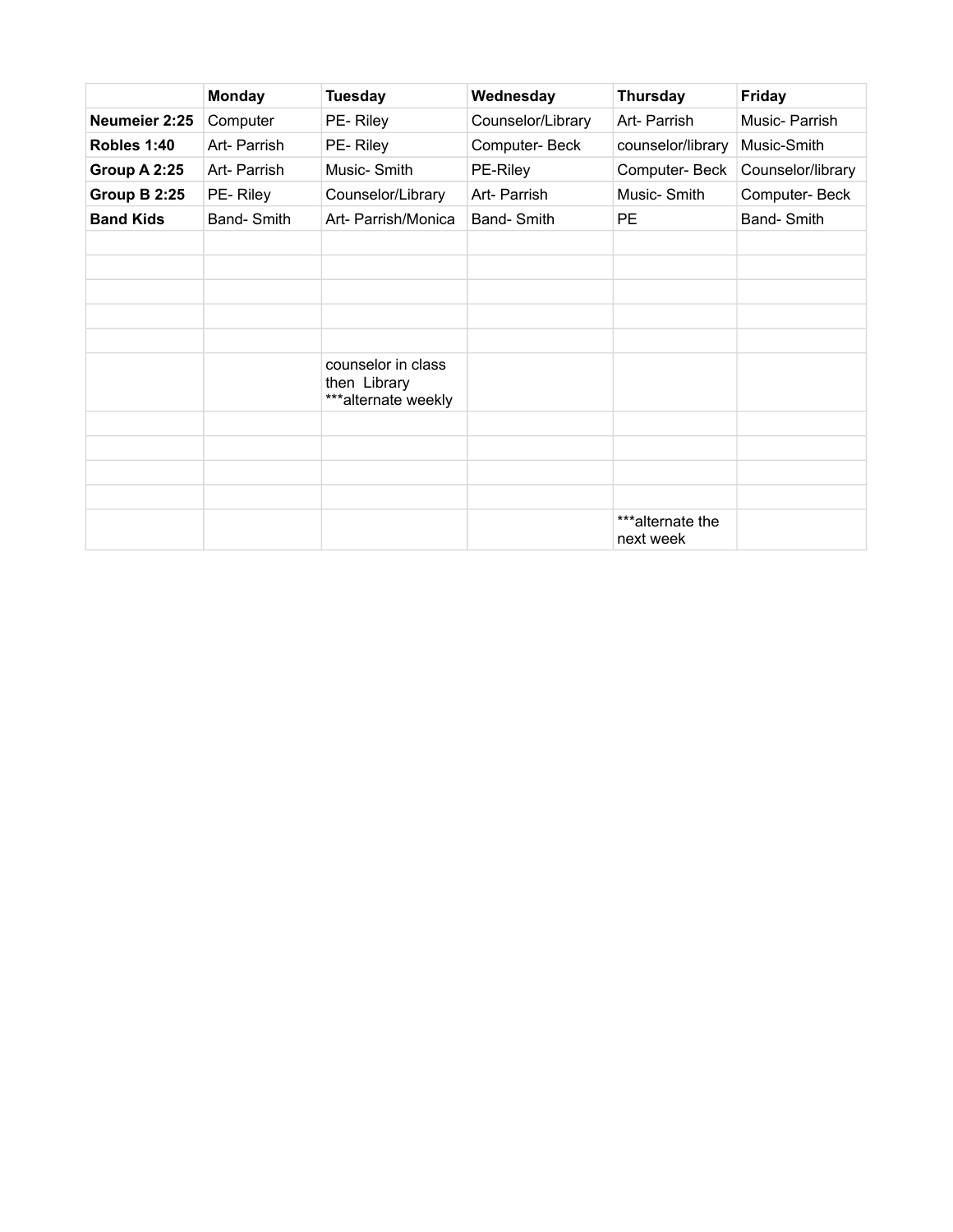|                  | <b>Monday</b> | <b>Tuesday</b>                                            | Wednesday         | <b>Thursday</b>               | <b>Friday</b>     |
|------------------|---------------|-----------------------------------------------------------|-------------------|-------------------------------|-------------------|
| Neumeier 2:25    | Computer      | PE-Riley                                                  | Counselor/Library | Art- Parrish                  | Music-Parrish     |
| Robles 1:40      | Art- Parrish  | PE-Riley                                                  | Computer-Beck     | counselor/library             | Music-Smith       |
| Group A 2:25     | Art- Parrish  | Music-Smith                                               | PE-Riley          | Computer-Beck                 | Counselor/library |
| Group B 2:25     | PE-Riley      | Counselor/Library                                         | Art- Parrish      | Music-Smith                   | Computer-Beck     |
| <b>Band Kids</b> | Band-Smith    | Art- Parrish/Monica                                       | Band-Smith        | <b>PE</b>                     | Band-Smith        |
|                  |               |                                                           |                   |                               |                   |
|                  |               |                                                           |                   |                               |                   |
|                  |               |                                                           |                   |                               |                   |
|                  |               |                                                           |                   |                               |                   |
|                  |               |                                                           |                   |                               |                   |
|                  |               | counselor in class<br>then Library<br>***alternate weekly |                   |                               |                   |
|                  |               |                                                           |                   |                               |                   |
|                  |               |                                                           |                   |                               |                   |
|                  |               |                                                           |                   |                               |                   |
|                  |               |                                                           |                   |                               |                   |
|                  |               |                                                           |                   | ***alternate the<br>next week |                   |